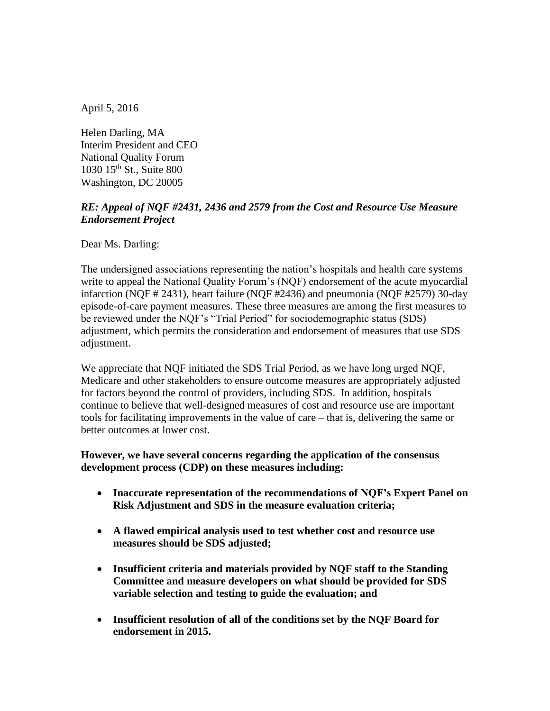April 5, 2016

Helen Darling, MA Interim President and CEO National Quality Forum 1030 15th St., Suite 800 Washington, DC 20005

# *RE: Appeal of NQF #2431, 2436 and 2579 from the Cost and Resource Use Measure Endorsement Project*

Dear Ms. Darling:

The undersigned associations representing the nation's hospitals and health care systems write to appeal the National Quality Forum's (NQF) endorsement of the acute myocardial infarction (NQF # 2431), heart failure (NQF #2436) and pneumonia (NQF #2579) 30-day episode-of-care payment measures. These three measures are among the first measures to be reviewed under the NQF's "Trial Period" for sociodemographic status (SDS) adjustment, which permits the consideration and endorsement of measures that use SDS adjustment.

We appreciate that NQF initiated the SDS Trial Period, as we have long urged NQF, Medicare and other stakeholders to ensure outcome measures are appropriately adjusted for factors beyond the control of providers, including SDS. In addition, hospitals continue to believe that well-designed measures of cost and resource use are important tools for facilitating improvements in the value of care – that is, delivering the same or better outcomes at lower cost.

## **However, we have several concerns regarding the application of the consensus development process (CDP) on these measures including:**

- **Inaccurate representation of the recommendations of NQF's Expert Panel on Risk Adjustment and SDS in the measure evaluation criteria;**
- **A flawed empirical analysis used to test whether cost and resource use measures should be SDS adjusted;**
- **Insufficient criteria and materials provided by NQF staff to the Standing Committee and measure developers on what should be provided for SDS variable selection and testing to guide the evaluation; and**
- **Insufficient resolution of all of the conditions set by the NQF Board for endorsement in 2015.**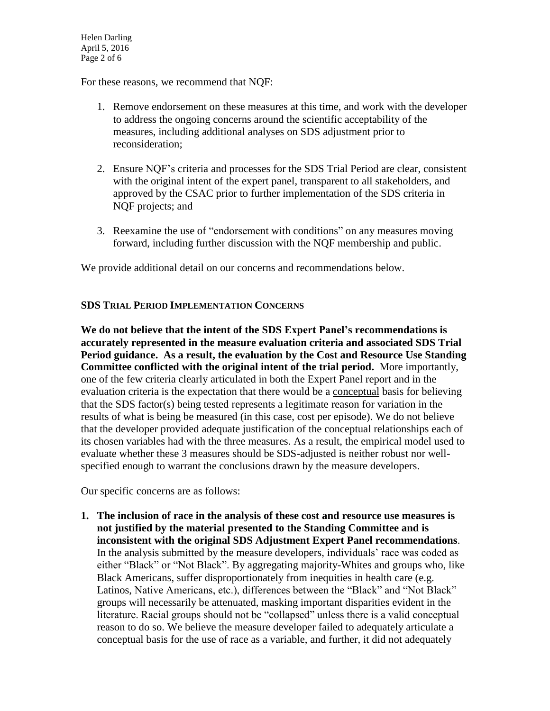Helen Darling April 5, 2016 Page 2 of 6

For these reasons, we recommend that NQF:

- 1. Remove endorsement on these measures at this time, and work with the developer to address the ongoing concerns around the scientific acceptability of the measures, including additional analyses on SDS adjustment prior to reconsideration;
- 2. Ensure NQF's criteria and processes for the SDS Trial Period are clear, consistent with the original intent of the expert panel, transparent to all stakeholders, and approved by the CSAC prior to further implementation of the SDS criteria in NQF projects; and
- 3. Reexamine the use of "endorsement with conditions" on any measures moving forward, including further discussion with the NQF membership and public.

We provide additional detail on our concerns and recommendations below.

#### **SDS TRIAL PERIOD IMPLEMENTATION CONCERNS**

**We do not believe that the intent of the SDS Expert Panel's recommendations is accurately represented in the measure evaluation criteria and associated SDS Trial Period guidance. As a result, the evaluation by the Cost and Resource Use Standing Committee conflicted with the original intent of the trial period.** More importantly, one of the few criteria clearly articulated in both the Expert Panel report and in the evaluation criteria is the expectation that there would be a conceptual basis for believing that the SDS factor(s) being tested represents a legitimate reason for variation in the results of what is being be measured (in this case, cost per episode). We do not believe that the developer provided adequate justification of the conceptual relationships each of its chosen variables had with the three measures. As a result, the empirical model used to evaluate whether these 3 measures should be SDS-adjusted is neither robust nor wellspecified enough to warrant the conclusions drawn by the measure developers.

Our specific concerns are as follows:

**1. The inclusion of race in the analysis of these cost and resource use measures is not justified by the material presented to the Standing Committee and is inconsistent with the original SDS Adjustment Expert Panel recommendations**. In the analysis submitted by the measure developers, individuals' race was coded as either "Black" or "Not Black". By aggregating majority-Whites and groups who, like Black Americans, suffer disproportionately from inequities in health care (e.g. Latinos, Native Americans, etc.), differences between the "Black" and "Not Black" groups will necessarily be attenuated, masking important disparities evident in the literature. Racial groups should not be "collapsed" unless there is a valid conceptual reason to do so. We believe the measure developer failed to adequately articulate a conceptual basis for the use of race as a variable, and further, it did not adequately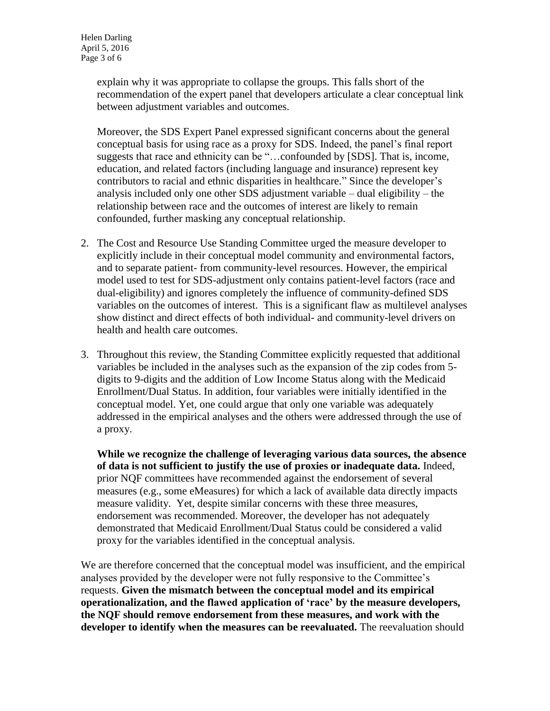explain why it was appropriate to collapse the groups. This falls short of the recommendation of the expert panel that developers articulate a clear conceptual link between adjustment variables and outcomes.

Moreover, the SDS Expert Panel expressed significant concerns about the general conceptual basis for using race as a proxy for SDS. Indeed, the panel's final report suggests that race and ethnicity can be "…confounded by [SDS]. That is, income, education, and related factors (including language and insurance) represent key contributors to racial and ethnic disparities in healthcare." Since the developer's analysis included only one other SDS adjustment variable – dual eligibility – the relationship between race and the outcomes of interest are likely to remain confounded, further masking any conceptual relationship.

- 2. The Cost and Resource Use Standing Committee urged the measure developer to explicitly include in their conceptual model community and environmental factors, and to separate patient- from community-level resources. However, the empirical model used to test for SDS-adjustment only contains patient-level factors (race and dual-eligibility) and ignores completely the influence of community-defined SDS variables on the outcomes of interest. This is a significant flaw as multilevel analyses show distinct and direct effects of both individual- and community-level drivers on health and health care outcomes.
- 3. Throughout this review, the Standing Committee explicitly requested that additional variables be included in the analyses such as the expansion of the zip codes from 5 digits to 9-digits and the addition of Low Income Status along with the Medicaid Enrollment/Dual Status. In addition, four variables were initially identified in the conceptual model. Yet, one could argue that only one variable was adequately addressed in the empirical analyses and the others were addressed through the use of a proxy.

**While we recognize the challenge of leveraging various data sources, the absence of data is not sufficient to justify the use of proxies or inadequate data.** Indeed, prior NQF committees have recommended against the endorsement of several measures (e.g., some eMeasures) for which a lack of available data directly impacts measure validity. Yet, despite similar concerns with these three measures, endorsement was recommended. Moreover, the developer has not adequately demonstrated that Medicaid Enrollment/Dual Status could be considered a valid proxy for the variables identified in the conceptual analysis.

We are therefore concerned that the conceptual model was insufficient, and the empirical analyses provided by the developer were not fully responsive to the Committee's requests. **Given the mismatch between the conceptual model and its empirical operationalization, and the flawed application of 'race' by the measure developers, the NQF should remove endorsement from these measures, and work with the developer to identify when the measures can be reevaluated.** The reevaluation should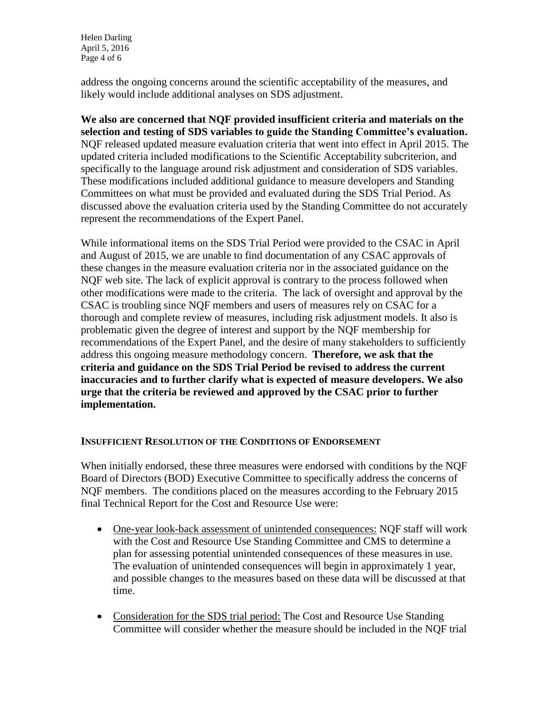Helen Darling April 5, 2016 Page 4 of 6

address the ongoing concerns around the scientific acceptability of the measures, and likely would include additional analyses on SDS adjustment.

**We also are concerned that NQF provided insufficient criteria and materials on the selection and testing of SDS variables to guide the Standing Committee's evaluation.** NQF released updated measure evaluation criteria that went into effect in April 2015. The updated criteria included modifications to the Scientific Acceptability subcriterion, and specifically to the language around risk adjustment and consideration of SDS variables. These modifications included additional guidance to measure developers and Standing Committees on what must be provided and evaluated during the SDS Trial Period. As discussed above the evaluation criteria used by the Standing Committee do not accurately represent the recommendations of the Expert Panel.

While informational items on the SDS Trial Period were provided to the CSAC in April and August of 2015, we are unable to find documentation of any CSAC approvals of these changes in the measure evaluation criteria nor in the associated guidance on the NQF web site. The lack of explicit approval is contrary to the process followed when other modifications were made to the criteria. The lack of oversight and approval by the CSAC is troubling since NQF members and users of measures rely on CSAC for a thorough and complete review of measures, including risk adjustment models. It also is problematic given the degree of interest and support by the NQF membership for recommendations of the Expert Panel, and the desire of many stakeholders to sufficiently address this ongoing measure methodology concern. **Therefore, we ask that the criteria and guidance on the SDS Trial Period be revised to address the current inaccuracies and to further clarify what is expected of measure developers. We also urge that the criteria be reviewed and approved by the CSAC prior to further implementation.**

#### **INSUFFICIENT RESOLUTION OF THE CONDITIONS OF ENDORSEMENT**

When initially endorsed, these three measures were endorsed with conditions by the NQF Board of Directors (BOD) Executive Committee to specifically address the concerns of NQF members. The conditions placed on the measures according to the February 2015 final Technical Report for the Cost and Resource Use were:

- One-year look-back assessment of unintended consequences: NQF staff will work with the Cost and Resource Use Standing Committee and CMS to determine a plan for assessing potential unintended consequences of these measures in use. The evaluation of unintended consequences will begin in approximately 1 year, and possible changes to the measures based on these data will be discussed at that time.
- Consideration for the SDS trial period: The Cost and Resource Use Standing Committee will consider whether the measure should be included in the NQF trial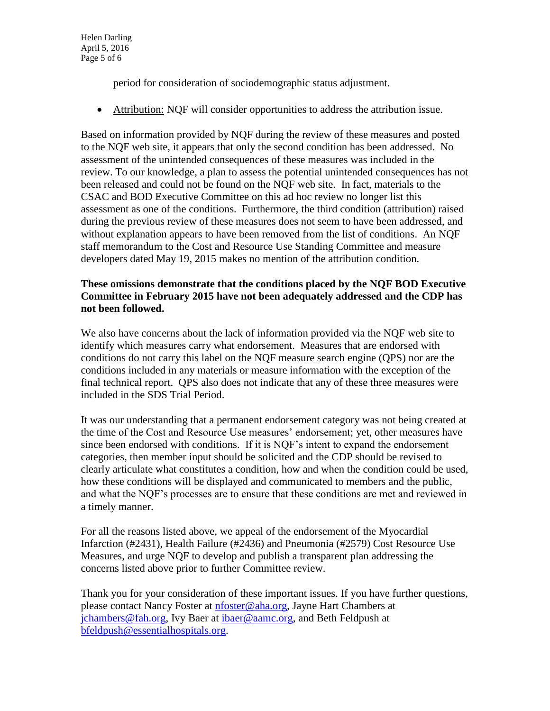period for consideration of sociodemographic status adjustment.

Attribution: NQF will consider opportunities to address the attribution issue.

Based on information provided by NQF during the review of these measures and posted to the NQF web site, it appears that only the second condition has been addressed. No assessment of the unintended consequences of these measures was included in the review. To our knowledge, a plan to assess the potential unintended consequences has not been released and could not be found on the NQF web site. In fact, materials to the CSAC and BOD Executive Committee on this ad hoc review no longer list this assessment as one of the conditions. Furthermore, the third condition (attribution) raised during the previous review of these measures does not seem to have been addressed, and without explanation appears to have been removed from the list of conditions. An NQF staff memorandum to the Cost and Resource Use Standing Committee and measure developers dated May 19, 2015 makes no mention of the attribution condition.

## **These omissions demonstrate that the conditions placed by the NQF BOD Executive Committee in February 2015 have not been adequately addressed and the CDP has not been followed.**

We also have concerns about the lack of information provided via the NQF web site to identify which measures carry what endorsement. Measures that are endorsed with conditions do not carry this label on the NQF measure search engine (QPS) nor are the conditions included in any materials or measure information with the exception of the final technical report. QPS also does not indicate that any of these three measures were included in the SDS Trial Period.

It was our understanding that a permanent endorsement category was not being created at the time of the Cost and Resource Use measures' endorsement; yet, other measures have since been endorsed with conditions. If it is NQF's intent to expand the endorsement categories, then member input should be solicited and the CDP should be revised to clearly articulate what constitutes a condition, how and when the condition could be used, how these conditions will be displayed and communicated to members and the public, and what the NQF's processes are to ensure that these conditions are met and reviewed in a timely manner.

For all the reasons listed above, we appeal of the endorsement of the Myocardial Infarction (#2431), Health Failure (#2436) and Pneumonia (#2579) Cost Resource Use Measures, and urge NQF to develop and publish a transparent plan addressing the concerns listed above prior to further Committee review.

Thank you for your consideration of these important issues. If you have further questions, please contact Nancy Foster at [nfoster@aha.org,](mailto:nfoster@aha.org) Jayne Hart Chambers at [jchambers@fah.org,](mailto:jchambers@fah.org) Ivy Baer at [ibaer@aamc.org,](mailto:ibaer@aamc.org) and Beth Feldpush at [bfeldpush@essentialhospitals.org.](mailto:bfeldpush@essentialhospitals.org)